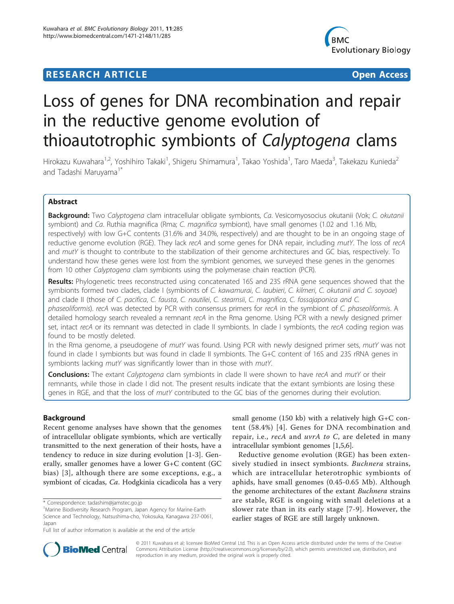## **RESEARCH ARTICLE External Structure Control Control Control Control Control Control Control Control Control Control Control Control Control Control Control Control Control Control Control Control Control Control Control**



# Loss of genes for DNA recombination and repair in the reductive genome evolution of thioautotrophic symbionts of Calyptogena clams

Hirokazu Kuwahara<sup>1,2</sup>, Yoshihiro Takaki<sup>1</sup>, Shigeru Shimamura<sup>1</sup>, Takao Yoshida<sup>1</sup>, Taro Maeda<sup>3</sup>, Takekazu Kunieda<sup>2</sup> and Tadashi Maruyama<sup>1\*</sup>

## Abstract

Background: Two Calyptogena clam intracellular obligate symbionts, Ca. Vesicomyosocius okutanii (Vok; C. okutanii symbiont) and Ca. Ruthia magnifica (Rma; C. magnifica symbiont), have small genomes (1.02 and 1.16 Mb, respectively) with low G+C contents (31.6% and 34.0%, respectively) and are thought to be in an ongoing stage of reductive genome evolution (RGE). They lack recA and some genes for DNA repair, including mutY. The loss of recA and mutY is thought to contribute to the stabilization of their genome architectures and GC bias, respectively. To understand how these genes were lost from the symbiont genomes, we surveyed these genes in the genomes from 10 other Calyptogena clam symbionts using the polymerase chain reaction (PCR).

Results: Phylogenetic trees reconstructed using concatenated 16S and 23S rRNA gene sequences showed that the symbionts formed two clades, clade I (symbionts of C. kawamurai, C. laubieri, C. kilmeri, C. okutanii and C. soyoae) and clade II (those of C. pacifica, C. fausta, C. nautilei, C. stearnsii, C. magnifica, C. fossajaponica and C. phaseoliformis). recA was detected by PCR with consensus primers for recA in the symbiont of C. phaseoliformis. A detailed homology search revealed a remnant recA in the Rma genome. Using PCR with a newly designed primer set, intact recA or its remnant was detected in clade II symbionts. In clade I symbionts, the recA coding region was found to be mostly deleted.

In the Rma genome, a pseudogene of mutY was found. Using PCR with newly designed primer sets, mutY was not found in clade I symbionts but was found in clade II symbionts. The G+C content of 16S and 23S rRNA genes in symbionts lacking mutY was significantly lower than in those with mutY.

**Conclusions:** The extant *Calyptogena* clam symbionts in clade II were shown to have recA and mutY or their remnants, while those in clade I did not. The present results indicate that the extant symbionts are losing these genes in RGE, and that the loss of mutY contributed to the GC bias of the genomes during their evolution.

## Background

Recent genome analyses have shown that the genomes of intracellular obligate symbionts, which are vertically transmitted to the next generation of their hosts, have a tendency to reduce in size during evolution [\[1](#page-12-0)-[3\]](#page-12-0). Generally, smaller genomes have a lower G+C content (GC bias) [[3\]](#page-12-0), although there are some exceptions, e.g., a symbiont of cicadas, Ca. Hodgkinia cicadicola has a very

\* Correspondence: [tadashim@jamstec.go.jp](mailto:tadashim@jamstec.go.jp)

small genome (150 kb) with a relatively high G+C content (58.4%) [[4](#page-12-0)]. Genes for DNA recombination and repair, i.e., recA and uvrA to C, are deleted in many intracellular symbiont genomes [[1,5,6\]](#page-12-0).

Reductive genome evolution (RGE) has been extensively studied in insect symbionts. Buchnera strains, which are intracellular heterotrophic symbionts of aphids, have small genomes (0.45-0.65 Mb). Although the genome architectures of the extant Buchnera strains are stable, RGE is ongoing with small deletions at a slower rate than in its early stage [[7-9\]](#page-12-0). However, the earlier stages of RGE are still largely unknown.



© 2011 Kuwahara et al; licensee BioMed Central Ltd. This is an Open Access article distributed under the terms of the Creative Commons Attribution License [\(http://creativecommons.org/licenses/by/2.0](http://creativecommons.org/licenses/by/2.0)), which permits unrestricted use, distribution, and reproduction in any medium, provided the original work is properly cited.

<sup>&</sup>lt;sup>1</sup>Marine Biodiversity Research Program, Japan Agency for Marine-Earth Science and Technology, Natsushima-cho, Yokosuka, Kanagawa 237-0061, Japan

Full list of author information is available at the end of the article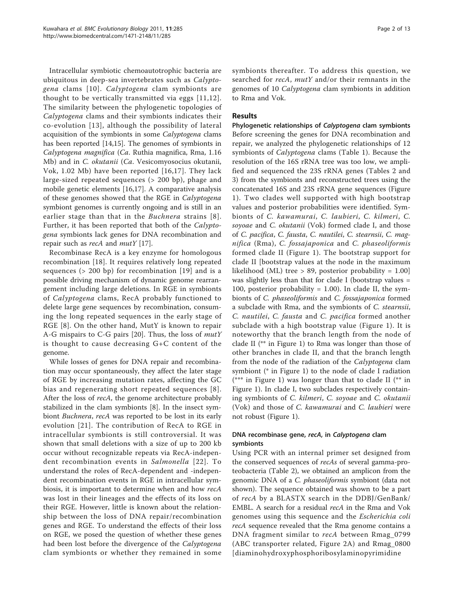Intracellular symbiotic chemoautotrophic bacteria are ubiquitous in deep-sea invertebrates such as Calyptogena clams [[10\]](#page-12-0). Calyptogena clam symbionts are thought to be vertically transmitted via eggs [\[11,12\]](#page-12-0). The similarity between the phylogenetic topologies of Calyptogena clams and their symbionts indicates their co-evolution [[13\]](#page-12-0), although the possibility of lateral acquisition of the symbionts in some Calyptogena clams has been reported [\[14,15](#page-12-0)]. The genomes of symbionts in Calyptogena magnifica (Ca. Ruthia magnifica, Rma, 1.16 Mb) and in C. okutanii (Ca. Vesicomyosocius okutanii, Vok, 1.02 Mb) have been reported [[16,17\]](#page-12-0). They lack large-sized repeated sequences (> 200 bp), phage and mobile genetic elements [[16,17](#page-12-0)]. A comparative analysis of these genomes showed that the RGE in Calyptogena symbiont genomes is currently ongoing and is still in an earlier stage than that in the *Buchnera* strains [[8\]](#page-12-0). Further, it has been reported that both of the Calyptogena symbionts lack genes for DNA recombination and repair such as recA and mutY [\[17](#page-12-0)].

Recombinase RecA is a key enzyme for homologous recombination [[18\]](#page-12-0). It requires relatively long repeated sequences (> 200 bp) for recombination [[19](#page-12-0)] and is a possible driving mechanism of dynamic genome rearrangement including large deletions. In RGE in symbionts of Calyptogena clams, RecA probably functioned to delete large gene sequences by recombination, consuming the long repeated sequences in the early stage of RGE [[8\]](#page-12-0). On the other hand, MutY is known to repair A-G mispairs to C-G pairs [[20](#page-12-0)]. Thus, the loss of mutY is thought to cause decreasing G+C content of the genome.

While losses of genes for DNA repair and recombination may occur spontaneously, they affect the later stage of RGE by increasing mutation rates, affecting the GC bias and regenerating short repeated sequences [[8\]](#page-12-0). After the loss of recA, the genome architecture probably stabilized in the clam symbionts [[8\]](#page-12-0). In the insect symbiont Buchnera, recA was reported to be lost in its early evolution [[21](#page-12-0)]. The contribution of RecA to RGE in intracellular symbionts is still controversial. It was shown that small deletions with a size of up to 200 kb occur without recognizable repeats via RecA-independent recombination events in Salmonella [[22\]](#page-12-0). To understand the roles of RecA-dependent and -independent recombination events in RGE in intracellular symbiosis, it is important to determine when and how recA was lost in their lineages and the effects of its loss on their RGE. However, little is known about the relationship between the loss of DNA repair/recombination genes and RGE. To understand the effects of their loss on RGE, we posed the question of whether these genes had been lost before the divergence of the Calyptogena clam symbionts or whether they remained in some symbionts thereafter. To address this question, we searched for recA, mutY and/or their remnants in the genomes of 10 Calyptogena clam symbionts in addition to Rma and Vok.

## Results

Phylogenetic relationships of Calyptogena clam symbionts Before screening the genes for DNA recombination and repair, we analyzed the phylogenetic relationships of 12 symbionts of *Calyptogena* clams (Table [1\)](#page-2-0). Because the resolution of the 16S rRNA tree was too low, we amplified and sequenced the 23S rRNA genes (Tables [2](#page-2-0) and [3\)](#page-3-0) from the symbionts and reconstructed trees using the concatenated 16S and 23S rRNA gene sequences (Figure [1](#page-4-0)). Two clades well supported with high bootstrap values and posterior probabilities were identified. Symbionts of C. kawamurai, C. laubieri, C. kilmeri, C. soyoae and C. okutanii (Vok) formed clade I, and those of C. pacifica, C. fausta, C. nautilei, C. stearnsii, C. magnifica (Rma), C. fossajaponica and C. phaseoliformis formed clade II (Figure [1](#page-4-0)). The bootstrap support for clade II [bootstrap values at the node in the maximum likelihood (ML) tree > 89, posterior probability = 1.00] was slightly less than that for clade I (bootstrap values = 100, posterior probability = 1.00). In clade II, the symbionts of C. phaseoliformis and C. fossajaponica formed a subclade with Rma, and the symbionts of C. stearnsii, C. nautilei, C. fausta and C. pacifica formed another subclade with a high bootstrap value (Figure [1\)](#page-4-0). It is noteworthy that the branch length from the node of clade II (\*\* in Figure [1](#page-4-0)) to Rma was longer than those of other branches in clade II, and that the branch length from the node of the radiation of the Calyptogena clam symbiont (\* in Figure [1\)](#page-4-0) to the node of clade I radiation (\*\*\* in Figure [1\)](#page-4-0) was longer than that to clade II (\*\* in Figure [1\)](#page-4-0). In clade I, two subclades respectively containing symbionts of C. kilmeri, C. soyoae and C. okutanii (Vok) and those of C. kawamurai and C. laubieri were not robust (Figure [1\)](#page-4-0).

## DNA recombinase gene, recA, in Calyptogena clam symbionts

Using PCR with an internal primer set designed from the conserved sequences of recAs of several gamma-proteobacteria (Table [2\)](#page-2-0), we obtained an amplicon from the genomic DNA of a C. phaseoliformis symbiont (data not shown). The sequence obtained was shown to be a part of recA by a BLASTX search in the DDBJ/GenBank/ EMBL. A search for a residual recA in the Rma and Vok genomes using this sequence and the Escherichia coli recA sequence revealed that the Rma genome contains a DNA fragment similar to recA between Rmag\_0799 (ABC transporter related, Figure [2A\)](#page-5-0) and Rmag\_0800 [diaminohydroxyphosphoribosylaminopyrimidine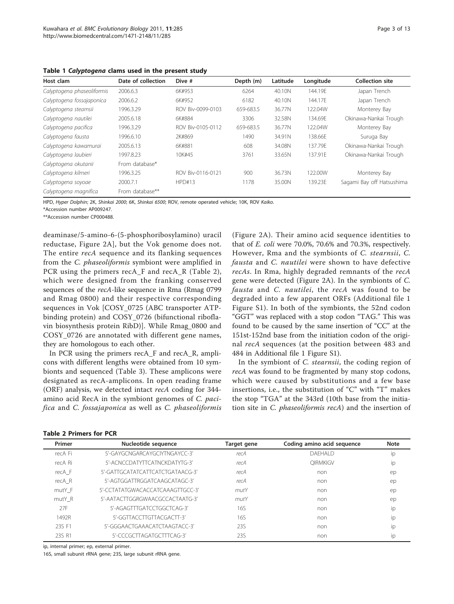<span id="page-2-0"></span>Table 1 Calyptogena clams used in the present study

| . .                        |                    |                   |           |          |           |                           |
|----------------------------|--------------------|-------------------|-----------|----------|-----------|---------------------------|
| Host clam                  | Date of collection | Dive #            | Depth (m) | Latitude | Longitude | <b>Collection site</b>    |
| Calyptogena phaseoliformis | 2006.6.3           | 6K#953            | 6264      | 40.10N   | 144.19E   | Japan Trench              |
| Calyptogena fossajaponica  | 2006.6.2           | 6K#952            | 6182      | 40.10N   | 144.17E   | Japan Trench              |
| Calyptogena stearnsii      | 1996.3.29          | ROV Biv-0099-0103 | 659-683.5 | 36.77N   | 122.04W   | Monterey Bay              |
| Calyptogena nautilei       | 2005.6.18          | 6K#884            | 3306      | 32.58N   | 134.69E   | Okinawa-Nankai Trough     |
| Calyptogena pacifica       | 1996.3.29          | ROV Biv-0105-0112 | 659-683.5 | 36.77N   | 122.04W   | Monterey Bay              |
| Calyptogena fausta         | 1996.6.10          | 2K#869            | 1490      | 34.91N   | 138.66E   | Suruga Bay                |
| Calyptogena kawamurai      | 2005.6.13          | 6K#881            | 608       | 34.08N   | 137.79E   | Okinawa-Nankai Trough     |
| Calyptogena laubieri       | 1997.8.23          | 10K#45            | 3761      | 33.65N   | 137.91E   | Okinawa-Nankai Trough     |
| Calyptogena okutanii       | From database*     |                   |           |          |           |                           |
| Calyptogena kilmeri        | 1996.3.25          | ROV Biv-0116-0121 | 900       | 36.73N   | 122.00W   | Monterey Bay              |
| Calyptogena soyoae         | 2000.7.1           | HPD#13            | 1178      | 35,00N   | 139.23E   | Sagami Bay off Hatsushima |
| Calvntogena magnifica      | From database**    |                   |           |          |           |                           |

HPD, Hyper Dolphin; 2K, Shinkai 2000; 6K, Shinkai 6500; ROV, remote operated vehicle; 10K, ROV Kaiko.

\*Accession number AP009247.

\*\*Accession number CP000488.

deaminase/5-amino-6-(5-phosphoribosylamino) uracil reductase, Figure [2A](#page-5-0)], but the Vok genome does not. The entire recA sequence and its flanking sequences from the C. phaseoliformis symbiont were amplified in PCR using the primers recA  $F$  and recA  $R$  (Table 2), which were designed from the franking conserved sequences of the recA-like sequence in Rma (Rmag 0799 and Rmag 0800) and their respective corresponding sequences in Vok [COSY\_0725 (ABC transporter ATPbinding protein) and COSY\_0726 (bifunctional riboflavin biosynthesis protein RibD)]. While Rmag\_0800 and COSY 0726 are annotated with different gene names, they are homologous to each other.

In PCR using the primers recA\_F and recA\_R, amplicons with different lengths were obtained from 10 symbionts and sequenced (Table [3](#page-3-0)). These amplicons were designated as recA-amplicons. In open reading frame (ORF) analysis, we detected intact recA coding for 344 amino acid RecA in the symbiont genomes of C. pacifica and C. fossajaponica as well as C. phaseoliformis

(Figure [2A](#page-5-0)). Their amino acid sequence identities to that of E. coli were 70.0%, 70.6% and 70.3%, respectively. However, Rma and the symbionts of C. stearnsii, C. fausta and C. nautilei were shown to have defective recAs. In Rma, highly degraded remnants of the recA gene were detected (Figure [2A](#page-5-0)). In the symbionts of C. fausta and C. nautilei, the recA was found to be degraded into a few apparent ORFs (Additional file [1](#page-11-0) Figure S1). In both of the symbionts, the 52nd codon "GGT" was replaced with a stop codon "TAG." This was found to be caused by the same insertion of "CC" at the 151st-152nd base from the initiation codon of the original recA sequences (at the position between 483 and 484 in Additional file [1](#page-11-0) Figure S1).

In the symbiont of C. stearnsii, the coding region of recA was found to be fragmented by many stop codons, which were caused by substitutions and a few base insertions, i.e., the substitution of "C" with "T" makes the stop "TGA" at the 343rd (10th base from the initiation site in C. phaseoliformis recA) and the insertion of

|  | <b>Table 2 Primers for PCR</b> |
|--|--------------------------------|
|--|--------------------------------|

| Primer  | Nucleotide sequence              | Target gene | Coding amino acid sequence | <b>Note</b> |
|---------|----------------------------------|-------------|----------------------------|-------------|
| recA Fi | 5'-GAYGCNGARCAYGCIYTNGAYCC-3'    | recA        | DAFHAI D                   | ip          |
| recA Ri | 5'-ACNCCDATYTTCATNCKDATYTG-3'    | recA        | <b>OIRMKIGV</b>            | ip          |
| recA F  | 5'-GATTGCATATCATTCATCTGATAACG-3' | recA        | non                        | ep          |
| recA R  | 5'-AGTGGATTRGGATCAAGCATAGC-3'    | recA        | non                        | ep          |
| mutY F  | 5'-CCTATATGWACACCATCAAAGTTGCC-3' | mutY        | non                        | ep          |
| mutY R  | 5'-AATACTTGGRGWAACGCCACTAATG-3'  | mutY        | non                        | ep          |
| 27F     | 5'-AGAGTTTGATCCTGGCTCAG-3'       | 16S         | non                        | ip          |
| 1492R   | 5'-GGTTACCTTGTTACGACTT-3'        | 16S         | non                        | in          |
| 23S F1  | 5'-GGGAACTGAAACATCTAAGTACC-3'    | 235         | non                        | in          |
| 235 R1  | 5'-CCCGCTTAGATGCTTTCAG-3'        | 23S         | non                        | İD          |

ip, internal primer; ep, external primer.

16S, small subunit rRNA gene; 23S, large subunit rRNA gene.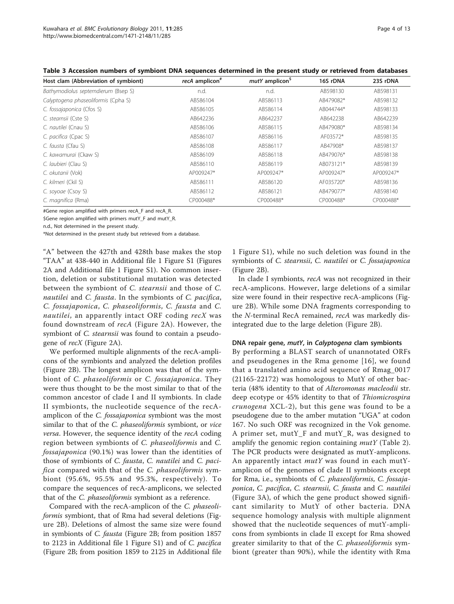| Host clam (Abbreviation of symbiont) | recA amplicon <sup>#</sup> | mutY amplicon <sup>5</sup> | 16S rDNA  | 23S rDNA  |
|--------------------------------------|----------------------------|----------------------------|-----------|-----------|
| Bathymodiolus septemdierum (Bsep S)  | n.d.                       | n.d.                       | AB598130  | AB598131  |
| Calyptogena phaseoliformis (Cpha S)  | AB586104                   | AB586113                   | AB479082* | AB598132  |
| C. fossajaponica (Cfos S)            | AB586105                   | AB586114                   | AB044744* | AB598133  |
| C. stearnsii (Cste S)                | AB642236                   | AB642237                   | AB642238  | AB642239  |
| C. nautilei (Cnau S)                 | AB586106                   | AB586115                   | AB479080* | AB598134  |
| C. pacifica (Cpac S)                 | AB586107                   | AB586116                   | AF03572*  | AB598135  |
| C. fausta (Cfau S)                   | AB586108                   | AB586117                   | AB47908*  | AB598137  |
| C. kawamurai (Ckaw S)                | AB586109                   | AB586118                   | AB479076* | AB598138  |
| C. laubieri (Clau S)                 | AB586110                   | AB586119                   | AB073121* | AB598139  |
| C. okutanii (Vok)                    | AP009247*                  | AP009247*                  | AP009247* | AP009247* |
| C. kilmeri (Ckil S)                  | AB586111                   | AB586120                   | AF035720* | AB598136  |
| C. soyoae (Csoy S)                   | AB586112                   | AB586121                   | AB479077* | AB598140  |
| C. magnifica (Rma)                   | CP000488*                  | CP000488*                  | CP000488* | CP000488* |

<span id="page-3-0"></span>Table 3 Accession numbers of symbiont DNA sequences determined in the present study or retrieved from databases

#Gene region amplified with primers recA\_F and recA\_R.

\$Gene region amplified with primers mutY\_F and mutY\_R.

n.d., Not determined in the present study.

\*Not determined in the present study but retrieved from a database.

"A" between the 427th and 428th base makes the stop "TAA" at 438-440 in Additional file [1](#page-11-0) Figure S1 (Figures [2A](#page-5-0) and Additional file [1](#page-11-0) Figure S1). No common insertion, deletion or substitutional mutation was detected between the symbiont of C. stearnsii and those of C. nautilei and C. fausta. In the symbionts of C. pacifica, C. fossajaponica, C. phaseoliformis, C. fausta and C. nautilei, an apparently intact ORF coding recX was found downstream of recA (Figure [2A](#page-5-0)). However, the symbiont of *C. stearnsii* was found to contain a pseudogene of recX (Figure [2A](#page-5-0)).

We performed multiple alignments of the recA-amplicons of the symbionts and analyzed the deletion profiles (Figure [2B](#page-5-0)). The longest amplicon was that of the symbiont of C. phaseoliformis or C. fossajaponica. They were thus thought to be the most similar to that of the common ancestor of clade I and II symbionts. In clade II symbionts, the nucleotide sequence of the recAamplicon of the C. fossajaponica symbiont was the most similar to that of the *C. phaseoliformis* symbiont, or *vice* versa. However, the sequence identity of the recA coding region between symbionts of C. phaseoliformis and C. fossajaponica (90.1%) was lower than the identities of those of symbionts of C. fausta, C. nautilei and C. pacifica compared with that of the C. phaseoliformis symbiont (95.6%, 95.5% and 95.3%, respectively). To compare the sequences of recA-amplicons, we selected that of the *C. phaseoliformis* symbiont as a reference.

Compared with the recA-amplicon of the C. phaseoliformis symbiont, that of Rma had several deletions (Figure [2B](#page-5-0)). Deletions of almost the same size were found in symbionts of C. fausta (Figure [2B;](#page-5-0) from position 1857 to 2123 in Additional file [1](#page-11-0) Figure S1) and of C. pacifica (Figure [2B](#page-5-0); from position 1859 to 2125 in Additional file [1](#page-11-0) Figure S1), while no such deletion was found in the symbionts of C. stearnsii, C. nautilei or C. fossajaponica (Figure [2B](#page-5-0)).

In clade I symbionts, recA was not recognized in their recA-amplicons. However, large deletions of a similar size were found in their respective recA-amplicons (Figure [2B\)](#page-5-0). While some DNA fragments corresponding to the N-terminal RecA remained, recA was markedly disintegrated due to the large deletion (Figure [2B\)](#page-5-0).

### DNA repair gene, mutY, in Calyptogena clam symbionts

By performing a BLAST search of unannotated ORFs and pseudogenes in the Rma genome [[16](#page-12-0)], we found that a translated amino acid sequence of Rmag\_0017 (21165-22172) was homologous to MutY of other bacteria (48% identity to that of Alteromonas macleodii str. deep ecotype or 45% identity to that of Thiomicrospira crunogena XCL-2), but this gene was found to be a pseudogene due to the amber mutation "UGA" at codon 167. No such ORF was recognized in the Vok genome. A primer set, mutY\_F and mutY\_R, was designed to amplify the genomic region containing  $mutY$  (Table [2](#page-2-0)). The PCR products were designated as mutY-amplicons. An apparently intact  $mutY$  was found in each mutYamplicon of the genomes of clade II symbionts except for Rma, i.e., symbionts of C. phaseoliformis, C. fossajaponica, C. pacifica, C. stearnsii, C. fausta and C. nautilei (Figure [3A](#page-6-0)), of which the gene product showed significant similarity to MutY of other bacteria. DNA sequence homology analysis with multiple alignment showed that the nucleotide sequences of mutY-amplicons from symbionts in clade II except for Rma showed greater similarity to that of the C. *phaseoliformis* symbiont (greater than 90%), while the identity with Rma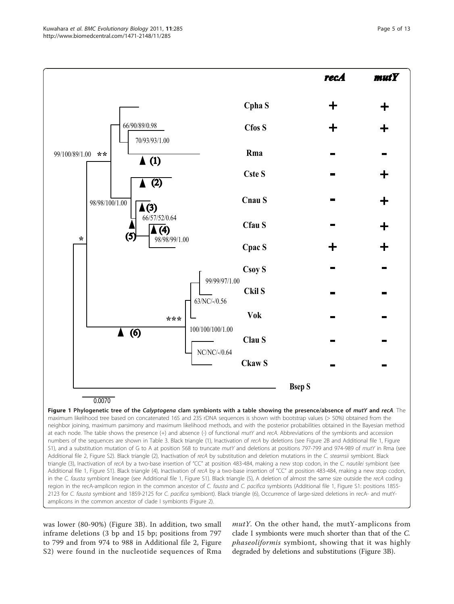<span id="page-4-0"></span>

S1), and a substitution mutation of G to A at position 568 to truncate mutY and deletions at positions 797-799 and 974-989 of mutY in Rma (see Additional file [2,](#page-11-0) Figure S2). Black triangle (2), Inactivation of recA by substitution and deletion mutations in the C. stearnsii symbiont. Black triangle (3), Inactivation of recA by a two-base insertion of "CC" at position 483-484, making a new stop codon, in the C. nautilei symbiont (see Additional file [1,](#page-11-0) Figure S1). Black triangle (4), Inactivation of recA by a two-base insertion of "CC" at position 483-484, making a new stop codon, in the C. fausta symbiont lineage (see Additional file [1,](#page-11-0) Figure S1). Black triangle (5), A deletion of almost the same size outside the recA coding region in the recA-amplicon region in the common ancestor of C. fausta and C. pacifica symbionts (Additional file [1,](#page-11-0) Figure S1: positions 1855-2123 for C. fausta symbiont and 1859-2125 for C. pacifica symbiont). Black triangle (6), Occurrence of large-sized deletions in recA- and mutYamplicons in the common ancestor of clade I symbionts (Figure 2).

was lower (80-90%) (Figure [3B\)](#page-6-0). In addition, two small inframe deletions (3 bp and 15 bp; positions from 797 to 799 and from 974 to 988 in Additional file [2,](#page-11-0) Figure S2) were found in the nucleotide sequences of Rma  $mutY$ . On the other hand, the mutY-amplicons from clade I symbionts were much shorter than that of the C. phaseoliformis symbiont, showing that it was highly degraded by deletions and substitutions (Figure [3B](#page-6-0)).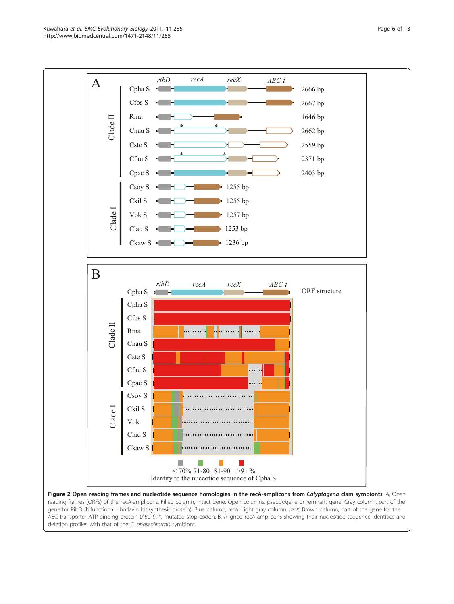<span id="page-5-0"></span>Kuwahara et al. BMC Evolutionary Biology 2011, <sup>11</sup>:285 http://www.biomedcentral.com/1471-2148/11/285



Figure 2 Open reading frames and nucleotide sequence homologies in the recA-amplicons from Calyptogena clam symbionts. A, Open reading frames (ORFs) of the recA-amplicons. Filled column, intact gene. Open columns, pseudogene or remnant gene. Gray column, part of the gene for RibD (bifunctional riboflavin biosynthesis protein). Blue column, recA. Light gray column, recX. Brown column, part of the gene for the ABC transporter ATP-binding protein (ABC-t). \*, mutated stop codon. B, Aligned recA-amplicons showing their nucleotide sequence identities and deletion profiles with that of the C. phaseoliformis symbiont.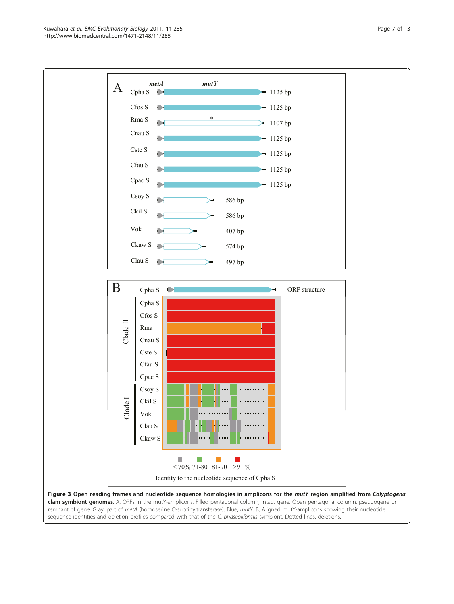<span id="page-6-0"></span>Kuwahara et al. BMC Evolutionary Biology 2011, <sup>11</sup>:285 http://www.biomedcentral.com/1471-2148/11/285



sequence identities and deletion profiles compared with that of the C. phaseoliformis symbiont. Dotted lines, deletions.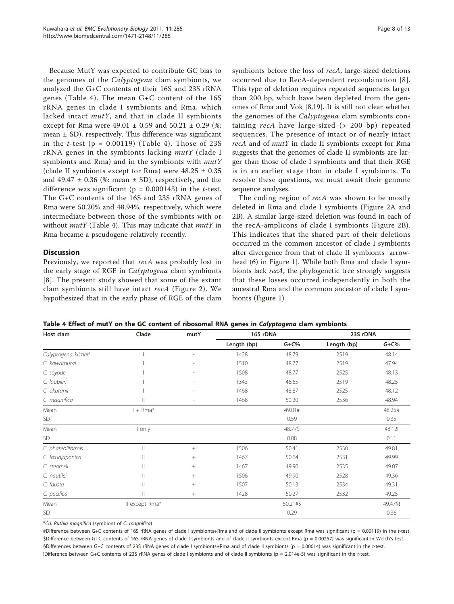<span id="page-7-0"></span>Because MutY was expected to contribute GC bias to the genomes of the Calyptogena clam symbionts, we analyzed the G+C contents of their 16S and 23S rRNA genes (Table 4). The mean G+C content of the 16S rRNA genes in clade I symbionts and Rma, which lacked intact mutY, and that in clade II symbionts except for Rma were 49.01 ± 0.59 and 50.21 ± 0.29 (%: mean  $\pm$  SD), respectively. This difference was significant in the *t*-test ( $p = 0.00119$ ) (Table 4). Those of 23S  $rRNA$  genes in the symbionts lacking  $mutY$  (clade I symbionts and Rma) and in the symbionts with  $mutY$ (clade II symbionts except for Rma) were  $48.25 \pm 0.35$ and  $49.47 \pm 0.36$  (%: mean  $\pm$  SD), respectively, and the difference was significant ( $p = 0.000143$ ) in the *t*-test. The G+C contents of the 16S and 23S rRNA genes of Rma were 50.20% and 48.94%, respectively, which were intermediate between those of the symbionts with or without  $mutY$  (Table 4). This may indicate that  $mutY$  in Rma became a pseudogene relatively recently.

## **Discussion**

Previously, we reported that recA was probably lost in the early stage of RGE in Calyptogena clam symbionts [[8](#page-12-0)]. The present study showed that some of the extant clam symbionts still have intact recA (Figure [2](#page-5-0)). We hypothesized that in the early phase of RGE of the clam symbionts before the loss of recA, large-sized deletions occurred due to RecA-dependent recombination [[8\]](#page-12-0). This type of deletion requires repeated sequences larger than 200 bp, which have been depleted from the genomes of Rma and Vok [[8,19](#page-12-0)]. It is still not clear whether the genomes of the Calyptogena clam symbionts containing  $recA$  have large-sized  $(> 200$  bp) repeated sequences. The presence of intact or of nearly intact recA and of mutY in clade II symbionts except for Rma suggests that the genomes of clade II symbionts are larger than those of clade I symbionts and that their RGE is in an earlier stage than in clade I symbionts. To resolve these questions, we must await their genome sequence analyses.

The coding region of recA was shown to be mostly deleted in Rma and clade I symbionts (Figure [2A](#page-5-0) and [2B\)](#page-5-0). A similar large-sized deletion was found in each of the recA-amplicons of clade I symbionts (Figure [2B\)](#page-5-0). This indicates that the shared part of their deletions occurred in the common ancestor of clade I symbionts after divergence from that of clade II symbionts [arrowhead (6) in Figure [1\]](#page-4-0). While both Rma and clade I symbionts lack recA, the phylogenetic tree strongly suggests that these losses occurred independently in both the ancestral Rma and the common ancestor of clade I symbionts (Figure [1\)](#page-4-0).

| Table 4 Effect of mutY on the GC content of ribosomal RNA genes in Calyptogena clam symbionts |  |          |  |
|-----------------------------------------------------------------------------------------------|--|----------|--|
| .                                                                                             |  | -------- |  |

| Host clam           | Clade          | mutY                     | 16S rDNA    |           | 23S rDNA    |           |
|---------------------|----------------|--------------------------|-------------|-----------|-------------|-----------|
|                     |                |                          | Length (bp) | $G + C\%$ | Length (bp) | $G + C\%$ |
| Calyptogena kilmeri |                |                          | 1428        | 48.79     | 2519        | 48.14     |
| C. kawamurai        |                |                          | 1510        | 48.77     | 2519        | 47.94     |
| C. soyoae           |                |                          | 1508        | 48.77     | 2525        | 48.13     |
| C. laubieri         |                | $\overline{\phantom{a}}$ | 1343        | 48.65     | 2519        | 48.25     |
| C. okutanii         |                | $\overline{\phantom{a}}$ | 1468        | 48.87     | 2525        | 48.12     |
| C. magnifica        | $\mathsf{I}$   | $\overline{\phantom{a}}$ | 1468        | 50.20     | 2536        | 48.94     |
| Mean                | $1 + Rma*$     |                          |             | 49.01#    |             | 48.25§    |
| SD                  |                |                          |             | 0.59      |             | 0.35      |
| Mean                | only           |                          |             | 48.77\$   |             | 48.12!    |
| <b>SD</b>           |                |                          |             | 0.08      |             | 0.11      |
| C. phaseoliformis   | $\mathbf{I}$   | $+$                      | 1506        | 50.41     | 2530        | 49.81     |
| C. fossajaponica    | $\mathsf{I}$   | $^{+}$                   | 1467        | 50.64     | 2531        | 49.99     |
| C. stearnsii        | $\mathsf{I}$   | $^{+}$                   | 1467        | 49.90     | 2535        | 49.07     |
| C. nautilei         | $\mathsf{I}$   | $^{+}$                   | 1506        | 49.90     | 2528        | 49.36     |
| C. fausta           | $\mathsf{I}$   | $^{+}$                   | 1507        | 50.13     | 2534        | 49.31     |
| C. pacifica         | $\mathsf{I}$   | $^{+}$                   | 1428        | 50.27     | 2532        | 49.25     |
| Mean                | Il except Rma* |                          |             | 50.21#\$  |             | 49.47§!   |
| SD                  |                |                          |             | 0.29      |             | 0.36      |

\*Ca. Ruthia magnifica (symbiont of C. magnifica)

#Difference between G+C contents of 16S rRNA genes of clade I symbionts+Rma and of clade II symbionts except Rma was significant (p = 0.00119) in the t-test. \$Difference between G+C contents of 16S rRNA genes of clade I symbionts and of clade II symbionts except Rma (p = 0.00257) was significant in Welch's test. §Differences between G+C contents of 23S rRNA genes of clade I symbionts+Rma and of clade II symbionts (p = 0.00014) was significant in the t-test. !Difference between G+C contents of 23S rRNA genes of clade I symbionts and of clade II symbionts (p = 2.014e-5) was significant in the t-test.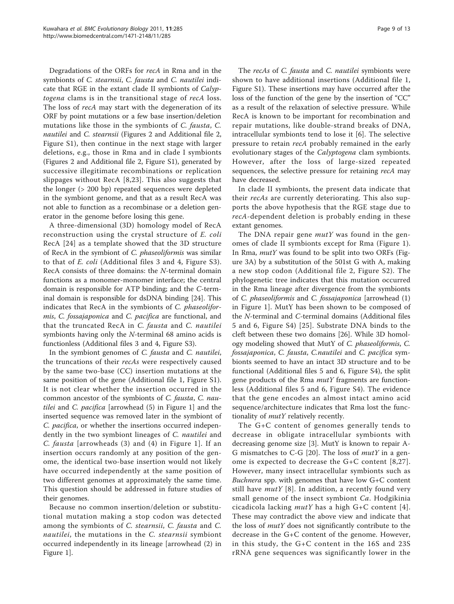Degradations of the ORFs for recA in Rma and in the symbionts of C. stearnsii, C. fausta and C. nautilei indicate that RGE in the extant clade II symbionts of Calyptogena clams is in the transitional stage of recA loss. The loss of recA may start with the degeneration of its ORF by point mutations or a few base insertion/deletion mutations like those in the symbionts of C. fausta, C. nautilei and C. stearnsii (Figures [2](#page-5-0) and Additional file [2](#page-11-0), Figure S1), then continue in the next stage with larger deletions, e.g., those in Rma and in clade I symbionts (Figures [2](#page-5-0) and Additional file [2,](#page-11-0) Figure S1), generated by successive illegitimate recombinations or replication slippages without RecA [[8,23\]](#page-12-0). This also suggests that the longer (> 200 bp) repeated sequences were depleted in the symbiont genome, and that as a result RecA was not able to function as a recombinase or a deletion generator in the genome before losing this gene.

A three-dimensional (3D) homology model of RecA reconstruction using the crystal structure of E. coli RecA [[24](#page-12-0)] as a template showed that the 3D structure of RecA in the symbiont of C. phaseoliformis was similar to that of E. coli (Additional files [3](#page-11-0) and [4,](#page-11-0) Figure S3). RecA consists of three domains: the N-terminal domain functions as a monomer-monomer interface; the central domain is responsible for ATP binding; and the C-terminal domain is responsible for dsDNA binding [[24\]](#page-12-0). This indicates that RecA in the symbionts of C. phaseoliformis, C. fossajaponica and C. pacifica are functional, and that the truncated RecA in C. fausta and C. nautilei symbionts having only the N-terminal 68 amino acids is functionless (Additional files [3](#page-11-0) and [4](#page-11-0), Figure S3).

In the symbiont genomes of C. fausta and C. nautilei, the truncations of their recAs were respectively caused by the same two-base (CC) insertion mutations at the same position of the gene (Additional file [1,](#page-11-0) Figure S1). It is not clear whether the insertion occurred in the common ancestor of the symbionts of C. fausta, C. nau-tilei and C. pacifica [arrowhead (5) in Figure [1](#page-4-0)] and the inserted sequence was removed later in the symbiont of C. pacifica, or whether the insertions occurred independently in the two symbiont lineages of C. nautilei and C. fausta [arrowheads (3) and (4) in Figure [1\]](#page-4-0). If an insertion occurs randomly at any position of the genome, the identical two-base insertion would not likely have occurred independently at the same position of two different genomes at approximately the same time. This question should be addressed in future studies of their genomes.

Because no common insertion/deletion or substitutional mutation making a stop codon was detected among the symbionts of C. stearnsii, C. fausta and C. nautilei, the mutations in the C. stearnsii symbiont occurred independently in its lineage [arrowhead (2) in Figure [1](#page-4-0)].

The recAs of C. fausta and C. nautilei symbionts were shown to have additional insertions (Additional file [1](#page-11-0), Figure S1). These insertions may have occurred after the loss of the function of the gene by the insertion of "CC" as a result of the relaxation of selective pressure. While RecA is known to be important for recombination and repair mutations, like double-strand breaks of DNA, intracellular symbionts tend to lose it [[6\]](#page-12-0). The selective pressure to retain recA probably remained in the early evolutionary stages of the Calyptogena clam symbionts. However, after the loss of large-sized repeated sequences, the selective pressure for retaining recA may have decreased.

In clade II symbionts, the present data indicate that their recAs are currently deteriorating. This also supports the above hypothesis that the RGE stage due to recA-dependent deletion is probably ending in these extant genomes.

The DNA repair gene  $mutY$  was found in the genomes of clade II symbionts except for Rma (Figure [1](#page-4-0)). In Rma, mutY was found to be split into two ORFs (Figure [3A](#page-6-0)) by a substitution of the 501st G with A, making a new stop codon (Additional file [2,](#page-11-0) Figure S2). The phylogenetic tree indicates that this mutation occurred in the Rma lineage after divergence from the symbionts of C. phaseoliformis and C. fossajaponica [arrowhead (1) in Figure [1](#page-4-0)]. MutY has been shown to be composed of the N-terminal and C-terminal domains (Additional files [5](#page-11-0) and [6](#page-11-0), Figure S4) [[25](#page-12-0)]. Substrate DNA binds to the cleft between these two domains [[26\]](#page-12-0). While 3D homology modeling showed that MutY of C. phaseoliformis, C. fossajaponica, C. fausta, C.nautilei and C. pacifica symbionts seemed to have an intact 3D structure and to be functional (Additional files [5](#page-11-0) and [6](#page-11-0), Figure S4), the split gene products of the Rma  $mutY$  fragments are functionless (Additional files [5](#page-11-0) and [6](#page-11-0), Figure S4). The evidence that the gene encodes an almost intact amino acid sequence/architecture indicates that Rma lost the functionality of *mutY* relatively recently.

The G+C content of genomes generally tends to decrease in obligate intracellular symbionts with decreasing genome size [[3\]](#page-12-0). MutY is known to repair A-G mismatches to C-G [[20\]](#page-12-0). The loss of  $mutY$  in a genome is expected to decrease the G+C content [[8](#page-12-0),[27\]](#page-12-0). However, many insect intracellular symbionts such as Buchnera spp. with genomes that have low G+C content still have  $mutY$  [[8\]](#page-12-0). In addition, a recently found very small genome of the insect symbiont *Ca*. Hodgikinia cicadicola lacking  $mutY$  has a high G+C content [[4\]](#page-12-0). These may contradict the above view and indicate that the loss of mutY does not significantly contribute to the decrease in the G+C content of the genome. However, in this study, the G+C content in the 16S and 23S rRNA gene sequences was significantly lower in the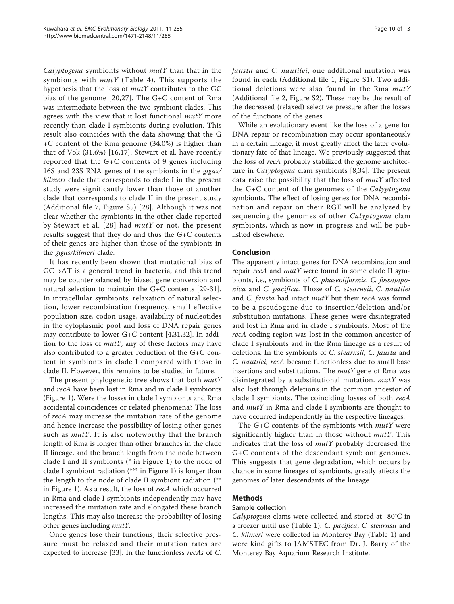Calyptogena symbionts without  $mutY$  than that in the symbionts with  $mutY$  (Table [4](#page-7-0)). This supports the hypothesis that the loss of mutY contributes to the GC bias of the genome [[20,27\]](#page-12-0). The G+C content of Rma was intermediate between the two symbiont clades. This agrees with the view that it lost functional *mutY* more recently than clade I symbionts during evolution. This result also coincides with the data showing that the G +C content of the Rma genome (34.0%) is higher than that of Vok (31.6%) [[16,17\]](#page-12-0). Stewart et al. have recently reported that the G+C contents of 9 genes including 16S and 23S RNA genes of the symbionts in the gigas/ kilmeri clade that corresponds to clade I in the present study were significantly lower than those of another clade that corresponds to clade II in the present study (Additional file [7,](#page-11-0) Figure S5) [[28\]](#page-12-0). Although it was not clear whether the symbionts in the other clade reported by Stewart et al. [[28](#page-12-0)] had  $mutY$  or not, the present results suggest that they do and thus the G+C contents of their genes are higher than those of the symbionts in the gigas/kilmeri clade.

It has recently been shown that mutational bias of  $GC \rightarrow AT$  is a general trend in bacteria, and this trend may be counterbalanced by biased gene conversion and natural selection to maintain the G+C contents [[29-31](#page-12-0)]. In intracellular symbionts, relaxation of natural selection, lower recombination frequency, small effective population size, codon usage, availability of nucleotides in the cytoplasmic pool and loss of DNA repair genes may contribute to lower G+C content [\[4,31,32\]](#page-12-0). In addition to the loss of mutY, any of these factors may have also contributed to a greater reduction of the G+C content in symbionts in clade I compared with those in clade II. However, this remains to be studied in future.

The present phylogenetic tree shows that both  $mutY$ and recA have been lost in Rma and in clade I symbionts (Figure [1](#page-4-0)). Were the losses in clade I symbionts and Rma accidental coincidences or related phenomena? The loss of recA may increase the mutation rate of the genome and hence increase the possibility of losing other genes such as  $mutY$ . It is also noteworthy that the branch length of Rma is longer than other branches in the clade II lineage, and the branch length from the node between clade I and II symbionts (\* in Figure [1\)](#page-4-0) to the node of clade I symbiont radiation (\*\*\* in Figure [1](#page-4-0)) is longer than the length to the node of clade II symbiont radiation (\*\* in Figure [1\)](#page-4-0). As a result, the loss of recA which occurred in Rma and clade I symbionts independently may have increased the mutation rate and elongated these branch lengths. This may also increase the probability of losing other genes including mutY.

Once genes lose their functions, their selective pressure must be relaxed and their mutation rates are expected to increase [[33\]](#page-12-0). In the functionless recAs of C.

fausta and C. nautilei, one additional mutation was found in each (Additional file [1,](#page-11-0) Figure S1). Two additional deletions were also found in the Rma mutY (Additional file [2,](#page-11-0) Figure S2). These may be the result of the decreased (relaxed) selective pressure after the losses of the functions of the genes.

While an evolutionary event like the loss of a gene for DNA repair or recombination may occur spontaneously in a certain lineage, it must greatly affect the later evolutionary fate of that lineage. We previously suggested that the loss of recA probably stabilized the genome architecture in Calyptogena clam symbionts [[8](#page-12-0),[34\]](#page-12-0). The present data raise the possibility that the loss of  $mutY$  affected the G+C content of the genomes of the Calyptogena symbionts. The effect of losing genes for DNA recombination and repair on their RGE will be analyzed by sequencing the genomes of other Calyptogena clam symbionts, which is now in progress and will be published elsewhere.

## Conclusion

The apparently intact genes for DNA recombination and repair *recA* and *mutY* were found in some clade II symbionts, i.e., symbionts of C. phaseoliformis, C. fossajaponica and C. pacifica. Those of C. stearnsii, C. nautilei and C. fausta had intact  $mutY$  but their recA was found to be a pseudogene due to insertion/deletion and/or substitution mutations. These genes were disintegrated and lost in Rma and in clade I symbionts. Most of the recA coding region was lost in the common ancestor of clade I symbionts and in the Rma lineage as a result of deletions. In the symbionts of C. stearnsii, C. fausta and C. nautilei, recA became functionless due to small base insertions and substitutions. The mutY gene of Rma was disintegrated by a substitutional mutation.  $m u tY$  was also lost through deletions in the common ancestor of clade I symbionts. The coinciding losses of both recA and  $mutY$  in Rma and clade I symbionts are thought to have occurred independently in the respective lineages.

The G+C contents of the symbionts with  $mutY$  were significantly higher than in those without *mutY*. This indicates that the loss of mutY probably decreased the G+C contents of the descendant symbiont genomes. This suggests that gene degradation, which occurs by chance in some lineages of symbionts, greatly affects the genomes of later descendants of the lineage.

## Methods

#### Sample collection

Calyptogena clams were collected and stored at -80°C in a freezer until use (Table [1\)](#page-2-0). C. pacifica, C. stearnsii and C. kilmeri were collected in Monterey Bay (Table [1](#page-2-0)) and were kind gifts to JAMSTEC from Dr. J. Barry of the Monterey Bay Aquarium Research Institute.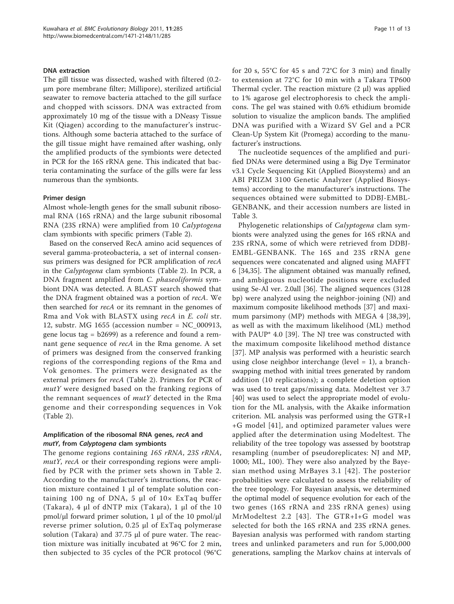#### DNA extraction

The gill tissue was dissected, washed with filtered (0.2 μm pore membrane filter; Millipore), sterilized artificial seawater to remove bacteria attached to the gill surface and chopped with scissors. DNA was extracted from approximately 10 mg of the tissue with a DNeasy Tissue Kit (Qiagen) according to the manufacturer's instructions. Although some bacteria attached to the surface of the gill tissue might have remained after washing, only the amplified products of the symbionts were detected in PCR for the 16S rRNA gene. This indicated that bacteria contaminating the surface of the gills were far less numerous than the symbionts.

#### Primer design

Almost whole-length genes for the small subunit ribosomal RNA (16S rRNA) and the large subunit ribosomal RNA (23S rRNA) were amplified from 10 Calyptogena clam symbionts with specific primers (Table [2\)](#page-2-0).

Based on the conserved RecA amino acid sequences of several gamma-proteobacteria, a set of internal consensus primers was designed for PCR amplification of recA in the Calyptogena clam symbionts (Table [2](#page-2-0)). In PCR, a DNA fragment amplified from C. phaseoliformis symbiont DNA was detected. A BLAST search showed that the DNA fragment obtained was a portion of recA. We then searched for recA or its remnant in the genomes of Rma and Vok with BLASTX using recA in E. coli str. 12, substr. MG 1655 (accession number = NC\_000913, gene locus tag = b2699) as a reference and found a remnant gene sequence of recA in the Rma genome. A set of primers was designed from the conserved franking regions of the corresponding regions of the Rma and Vok genomes. The primers were designated as the external primers for recA (Table [2](#page-2-0)). Primers for PCR of mutY were designed based on the franking regions of the remnant sequences of  $mutY$  detected in the Rma genome and their corresponding sequences in Vok (Table [2\)](#page-2-0).

## Amplification of the ribosomal RNA genes, recA and mutY, from Calyptogena clam symbionts

The genome regions containing 16S rRNA, 23S rRNA, mutY, recA or their corresponding regions were amplified by PCR with the primer sets shown in Table [2](#page-2-0). According to the manufacturer's instructions, the reaction mixture contained 1 μl of template solution containing 100 ng of DNA, 5  $\mu$ l of 10× ExTaq buffer (Takara), 4 μl of dNTP mix (Takara), 1 μl of the 10 pmol/μl forward primer solution, 1 μl of the 10 pmol/μl reverse primer solution, 0.25 μl of ExTaq polymerase solution (Takara) and 37.75 μl of pure water. The reaction mixture was initially incubated at 96°C for 2 min, then subjected to 35 cycles of the PCR protocol (96°C for 20 s, 55°C for 45 s and 72°C for 3 min) and finally to extension at 72°C for 10 min with a Takara TP600 Thermal cycler. The reaction mixture (2 μl) was applied to 1% agarose gel electrophoresis to check the amplicons. The gel was stained with 0.6% ethidium bromide solution to visualize the amplicon bands. The amplified DNA was purified with a Wizard SV Gel and a PCR Clean-Up System Kit (Promega) according to the manufacturer's instructions.

The nucleotide sequences of the amplified and purified DNAs were determined using a Big Dye Terminator v3.1 Cycle Sequencing Kit (Applied Biosystems) and an ABI PRIZM 3100 Genetic Analyzer (Applied Biosystems) according to the manufacturer's instructions. The sequences obtained were submitted to DDBJ-EMBL-GENBANK, and their accession numbers are listed in Table [3.](#page-3-0)

Phylogenetic relationships of *Calyptogena* clam symbionts were analyzed using the genes for 16S rRNA and 23S rRNA, some of which were retrieved from DDBJ-EMBL-GENBANK. The 16S and 23S rRNA gene sequences were concatenated and aligned using MAFFT 6 [\[34,35\]](#page-12-0). The alignment obtained was manually refined, and ambiguous nucleotide positions were excluded using Se-Al ver. 2.0all [\[36](#page-12-0)]. The aligned sequences (3128 bp) were analyzed using the neighbor-joining (NJ) and maximum composite likelihood methods [\[37](#page-12-0)] and maximum parsimony (MP) methods with MEGA 4 [\[38,39](#page-12-0)], as well as with the maximum likelihood (ML) method with PAUP\* 4.0 [[39](#page-12-0)]. The NJ tree was constructed with the maximum composite likelihood method distance [[37\]](#page-12-0). MP analysis was performed with a heuristic search using close neighbor interchange (level  $= 1$ ), a branchswapping method with initial trees generated by random addition (10 replications); a complete deletion option was used to treat gaps/missing data. Modeltest ver 3.7 [[40\]](#page-12-0) was used to select the appropriate model of evolution for the ML analysis, with the Akaike information criterion. ML analysis was performed using the GTR+I +G model [\[41\]](#page-12-0), and optimized parameter values were applied after the determination using Modeltest. The reliability of the tree topology was assessed by bootstrap resampling (number of pseudoreplicates: NJ and MP, 1000; ML, 100). They were also analyzed by the Bayesian method using MrBayes 3.1 [[42\]](#page-12-0). The posterior probabilities were calculated to assess the reliability of the tree topology. For Bayesian analysis, we determined the optimal model of sequence evolution for each of the two genes (16S rRNA and 23S rRNA genes) using MrModeltest 2.2 [[43\]](#page-12-0). The GTR+I+G model was selected for both the 16S rRNA and 23S rRNA genes. Bayesian analysis was performed with random starting trees and unlinked parameters and run for 5,000,000 generations, sampling the Markov chains at intervals of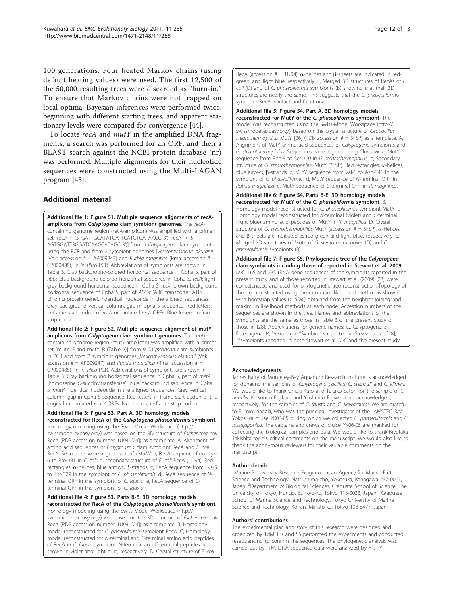<span id="page-11-0"></span>100 generations. Four heated Markov chains (using default heating values) were used. The first 12,500 of the 50,000 resulting trees were discarded as "burn-in." To ensure that Markov chains were not trapped on local optima, Bayesian inferences were performed twice, beginning with different starting trees, and apparent stationary levels were compared for convergence [[44](#page-12-0)].

To locate recA and  $mutY$  in the amplified DNA fragments, a search was performed for an ORF, and then a BLAST search against the NCBI protein database (nr) was performed. Multiple alignments for their nucleotide sequences were constructed using the Multi-LAGAN program [[45\]](#page-12-0).

## Additional material

[Additional file 1: F](http://www.biomedcentral.com/content/supplementary/1471-2148-11-285-S1.PDF)igure S1. Multiple sequence alignments of recAamplicons from Calyptogena clam symbiont genomes. The recAcontaining genome region (recA-amplicon) was amplified with a primer set [recA\_F (5'-GATTGCATATCATTCATCTGATAACG-3'), recA\_R (5'-AGTGGATTRGGATCAAGCATAGC-3')] from 9 Calyptogena clam symbionts using the PCR and from 2 symbiont genomes [Vesicomyosocius okutanii (Vok: accession  $# = \text{AP009247}$ ) and Ruthia magnifica (Rma: accession  $# =$ CP000488)] in in silico PCR. Abbreviations of symbionts are shown in Table [3.](#page-3-0) Gray background-colored horizontal sequence in Cpha S, part of ribD; blue background-colored horizontal sequence in Cpha S, recA; light gray background horizontal sequence in Cpha S, recX; brown background horizontal sequence of Cpha S, part of ABC-t (ABC transporter ATPbinding protein gene). \*Identical nucleotide in the aligned sequences. Gray background vertical column, gap in Cpha S sequence. Red letters, in-frame start codon of recA or mutated recA ORFs. Blue letters, in-frame stop codon.

[Additional file 2: F](http://www.biomedcentral.com/content/supplementary/1471-2148-11-285-S2.PDF)igure S2. Multiple sequence alignment of mutYamplicons from Calyptogena clam symbiont genomes. The mutYcontaining genome region (mutY-amplicon) was amplified with a primer set [mutY\_F and mutY\_R (Table [2](#page-2-0))] from 9 Calyptogena clam symbionts in PCR and from 2 symbiont genomes [Vesicomyosocius okutanii (Vok: accession  $# = \text{AP009247}$  and Ruthia magnifica (Rma: accession  $# =$ CP000488)] in in silico PCR. Abbreviations of symbionts are shown in Table [3.](#page-3-0) Gray background horizontal sequence in Cpha S, part of metA (homoserine O-succinyltransferase); blue background sequence in Cpha S, mutY. \*Identical nucleotide in the aligned sequences. Gray vertical column, gap in Cpha S sequence. Red letters, in-frame start codon of the original or mutated mutY ORFs. Blue letters, in-frame stop codon.

[Additional file 3: F](http://www.biomedcentral.com/content/supplementary/1471-2148-11-285-S3.PDF)igure S3. Part A. 3D homology models reconstructed for RecA of the Calyptogena phaseoliformis symbiont. Homology modeling using the Swiss-Model Workspace [\(http://](http://swissmodel.expasy.org/) [swissmodel.expasy.org/\)](http://swissmodel.expasy.org/) was based on the 3D structure of Escherichia coli RecA (PDB accession number 1U94: [\[24\]](#page-12-0)) as a template. A, Alignment of amino acid sequences of Calyptogena clam symbiont RecA and E. coli. RecA. Sequences were aligned with ClustalW. a, RecA sequence from Lys-6 to Pro-331 in E. coli; b, secondary structure of E. coli RecA (1U94). Red rectangles,  $\alpha$ -helices; blue arrows,  $\beta$ -strands. c, RecA sequence from Lys-5 to Thr-329 in the symbiont of C. phaseoliformis. d, RecA sequence of Nterminal ORF in the symbiont of C. fausta. e, RecA sequence of Cterminal ORF in the symbiont of C. fausta.

#### [Additional file 4: F](http://www.biomedcentral.com/content/supplementary/1471-2148-11-285-S4.PNG)igure S3. Parts B-E. 3D homology models reconstructed for RecA of the Calyptogena phaseoliformis symbiont.

Homology modeling using the Swiss-Model Workspace [\(http://](http://swissmodel.expasy.org/) [swissmodel.expasy.org/\)](http://swissmodel.expasy.org/) was based on the 3D structure of Escherichia coli RecA (PDB accession number 1U94: [\[24\]](#page-12-0)) as a template. B, Homology model reconstructed for C. phaeoliformis symbiont RecA. C, Homology model reconstructed for N-terminal and C-terminal amino acid peptides of RecA in C. fausta symbiont. N-terminal and C-terminal peptides are shown in violet and light blue, respectively. D, Crystal structure of E. coli

Page 12 of 13

RecA (accession  $# = 1 \cup 94$ );  $\alpha$ -helices and  $\beta$ -sheets are indicated in redgreen, and light blue, respectively. E, Merged 3D structures of RecAs of E. coli (D) and of C. phaseoliformis symbionts (B) showing that their 3D structures are nearly the same. This suggests that the C. phaseoliformis symbiont RecA is intact and functional.

#### [Additional file 5: F](http://www.biomedcentral.com/content/supplementary/1471-2148-11-285-S5.PDF)igure S4. Part A. 3D homology models

reconstructed for MutY of the C. phaseoliformis symbiont. The model was reconstructed using the Swiss-Model Workspace ([http://](http://swissmodel.expasy.org/) [swissmodel.expasy.org/\)](http://swissmodel.expasy.org/) based on the crystal structure of Geobacillus stearothermophilus MutY [[26\]](#page-12-0) (PDB accession # = 3FSP) as a template. A, Alignment of MutY amino acid sequences of Calyptogena symbionts and G. stearothermophilus. Sequences were aligned using ClustalW. a, MutY sequence from Phe-8 to Ser-360 in G. stearothermophilus. b, Secondary structure of G. stearothermophilus MutY (3FSP). Red rectangles,  $\alpha$ -helices; blue arrows, B-strands, c, MutY sequence from Val-1 to Asp-341 in the symbiont of C. phaseoliformis. d, MutY sequence of N-terminal ORF in Ruthia magnifica. e, MutY sequence of C-terminal ORF in R. magnifica.

#### [Additional file 6: F](http://www.biomedcentral.com/content/supplementary/1471-2148-11-285-S6.PNG)igure S4. Parts B-E. 3D homology models reconstructed for MutY of the C. phaseoliformis symbiont. B,

Homology model reconstructed for C. phaseoliformis symbiont MutY. C, Homology model reconstructed for N-terminal (violet) and C-terminal (light blue) amino acid peptides of MutY in R. magnifica. D, Crystal structure of G. stearothermophilus MutY (accession  $# = 3FSP$ ).  $\alpha$ -Helices and  $\beta$ -sheets are indicated as red-green and light blue, respectively. E, Merged 3D structures of MutY of G. stearothermophilus (D) and C. phaseoliformis symbionts (B).

[Additional file 7: F](http://www.biomedcentral.com/content/supplementary/1471-2148-11-285-S7.PDF)igure S5. Phylogenetic tree of the Calyptogena clam symbionts including those of reported in Stewart et al. 2009 [[28](#page-12-0)]. 16S and 23S rRNA gene sequences of the symbionts reported in the present study and of those reported in Stewart et al. (2009) [[28\]](#page-12-0) were concatenated and used for phylogenetic tree reconstruction. Topology of the tree constructed using the maximum likelihood method is shown with bootstrap values (> 50%) obtained from the neighbor joining and maximum likelihood methods at each node. Accession numbers of the sequences are shown in the tree. Names and abbreviations of the symbionts are the same as those in Table 3 of the present study or those in [[28](#page-12-0)]. Abbreviations for generic names: C., Calyptogena; E., Ectenagena; V., Vesicomya. \*Symbionts reported in Stewart et al. [\[28\]](#page-12-0); \*\*symbionts reported in both Stewart et al. [[28\]](#page-12-0) and the present study.

#### Acknowledgements

James Barry of Monterey-Bay Aquarium Research Institute is acknowledged for donating the samples of Calyptogena pacifica, C. stearnsii and C. kilmeri. We would like to thank Chiaki Kato and Takako Satoh for the sample of C. nautilei. Katsunori Fujikura and Yoshihiro Fujiwara are acknowledged, respectively, for the samples of C. fausta and C. kawamurai. We are grateful to Fumio Inagaki, who was the principal investigator of the JAMSTEC R/V Yokosuka cruise YK06-05 during which we collected C. phaseoliformis and C. fossajaponica. The captains and crews of cruise YK06-05 are thanked for collecting the biological samples and data. We would like to thank Kiyotaka Takishita for his critical comments on the manuscript. We would also like to thank the anonymous reviewers for their valuable comments on the manuscript.

#### Author details

<sup>1</sup>Marine Biodiversity Research Program, Japan Agency for Marine-Earth Science and Technology, Natsushima-cho, Yokosuka, Kanagawa 237-0061, Japan. <sup>2</sup>Department of Biological Sciences, Graduate School of Science, The University of Tokyo, Hongo, Bunkyo-ku, Tokyo 113-0033, Japan. <sup>3</sup>Graduate School of Marine Science and Technology, Tokyo University of Marine Science and Technology, Konan, Minato-ku, Tokyo 108-8477, Japan.

#### Authors' contributions

The experimental plan and story of this research were designed and organized by TdM. HK and SS performed the experiments and conducted resequencing to confirm the sequences. The phylogenetic analysis was carried out by TrM. DNA sequence data were analyzed by YT. TY